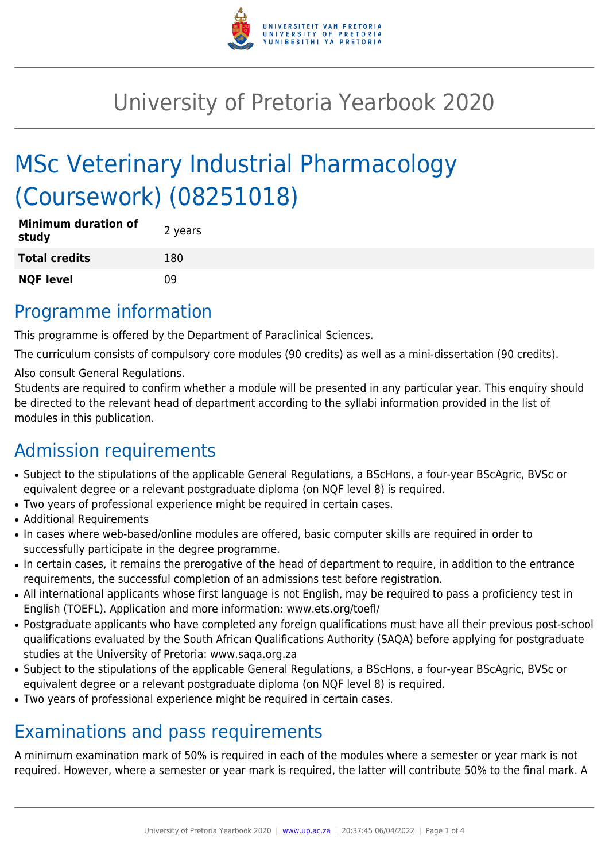

## University of Pretoria Yearbook 2020

# MSc Veterinary Industrial Pharmacology (Coursework) (08251018)

| <b>Minimum duration of</b><br>study | 2 years |
|-------------------------------------|---------|
| <b>Total credits</b>                | 180     |
| <b>NQF level</b>                    | 09      |

#### Programme information

This programme is offered by the Department of Paraclinical Sciences.

The curriculum consists of compulsory core modules (90 credits) as well as a mini-dissertation (90 credits).

Also consult General Regulations.

Students are required to confirm whether a module will be presented in any particular year. This enquiry should be directed to the relevant head of department according to the syllabi information provided in the list of modules in this publication.

### Admission requirements

- Subject to the stipulations of the applicable General Regulations, a BScHons, a four-year BScAgric, BVSc or equivalent degree or a relevant postgraduate diploma (on NQF level 8) is required.
- Two years of professional experience might be required in certain cases.
- Additional Requirements
- In cases where web-based/online modules are offered, basic computer skills are required in order to successfully participate in the degree programme.
- In certain cases, it remains the prerogative of the head of department to require, in addition to the entrance requirements, the successful completion of an admissions test before registration.
- All international applicants whose first language is not English, may be required to pass a proficiency test in English (TOEFL). Application and more information: www.ets.org/toefl/
- Postgraduate applicants who have completed any foreign qualifications must have all their previous post-school qualifications evaluated by the South African Qualifications Authority (SAQA) before applying for postgraduate studies at the University of Pretoria: www.saqa.org.za
- Subject to the stipulations of the applicable General Regulations, a BScHons, a four-year BScAgric, BVSc or equivalent degree or a relevant postgraduate diploma (on NQF level 8) is required.
- Two years of professional experience might be required in certain cases.

### Examinations and pass requirements

A minimum examination mark of 50% is required in each of the modules where a semester or year mark is not required. However, where a semester or year mark is required, the latter will contribute 50% to the final mark. A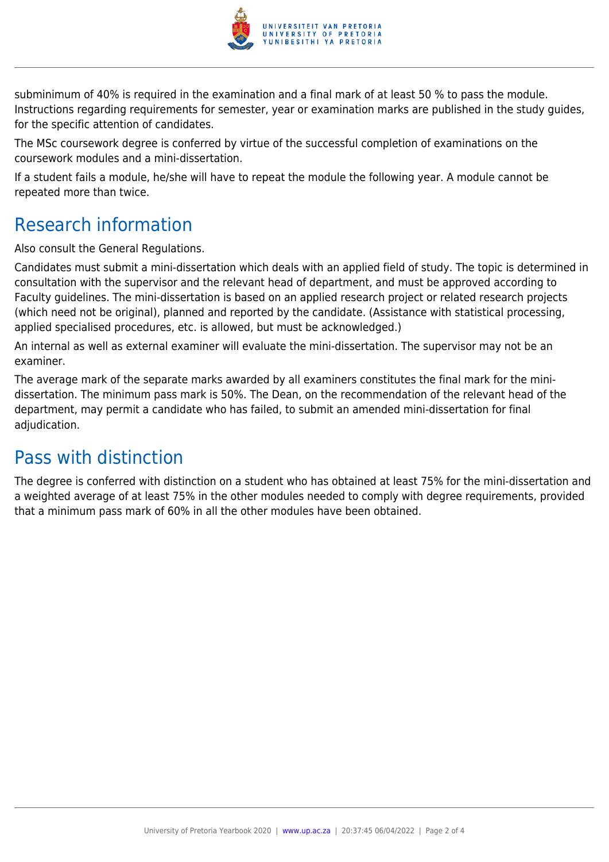

subminimum of 40% is required in the examination and a final mark of at least 50 % to pass the module. Instructions regarding requirements for semester, year or examination marks are published in the study guides, for the specific attention of candidates.

The MSc coursework degree is conferred by virtue of the successful completion of examinations on the coursework modules and a mini-dissertation.

If a student fails a module, he/she will have to repeat the module the following year. A module cannot be repeated more than twice.

#### Research information

Also consult the General Regulations.

Candidates must submit a mini-dissertation which deals with an applied field of study. The topic is determined in consultation with the supervisor and the relevant head of department, and must be approved according to Faculty guidelines. The mini-dissertation is based on an applied research project or related research projects (which need not be original), planned and reported by the candidate. (Assistance with statistical processing, applied specialised procedures, etc. is allowed, but must be acknowledged.)

An internal as well as external examiner will evaluate the mini-dissertation. The supervisor may not be an examiner.

The average mark of the separate marks awarded by all examiners constitutes the final mark for the minidissertation. The minimum pass mark is 50%. The Dean, on the recommendation of the relevant head of the department, may permit a candidate who has failed, to submit an amended mini-dissertation for final adjudication.

### Pass with distinction

The degree is conferred with distinction on a student who has obtained at least 75% for the mini-dissertation and a weighted average of at least 75% in the other modules needed to comply with degree requirements, provided that a minimum pass mark of 60% in all the other modules have been obtained.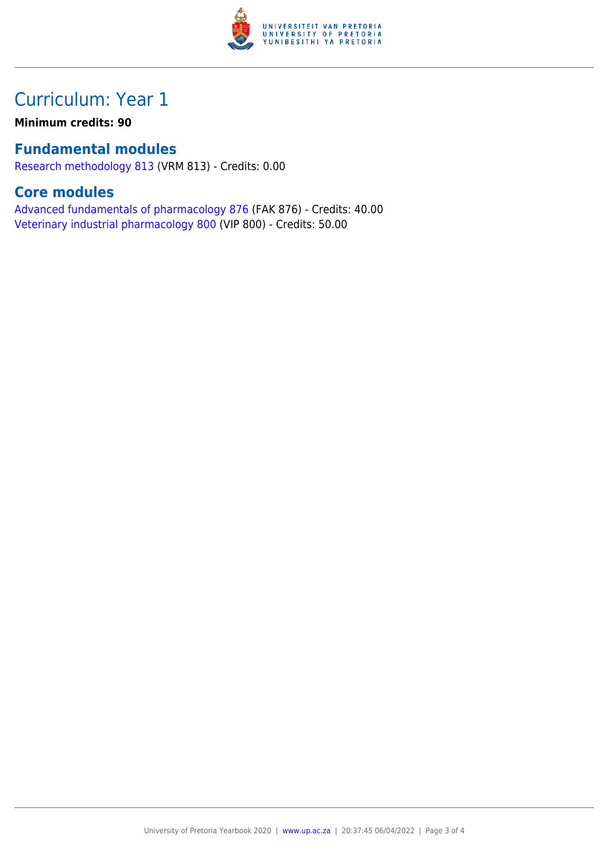

#### Curriculum: Year 1

**Minimum credits: 90**

#### **Fundamental modules**

[Research methodology 813](https://www.up.ac.za/faculty-of-education/yearbooks/2020/modules/view/VRM 813) (VRM 813) - Credits: 0.00

#### **Core modules**

[Advanced fundamentals of pharmacology 876](https://www.up.ac.za/faculty-of-education/yearbooks/2020/modules/view/FAK 876) (FAK 876) - Credits: 40.00 [Veterinary industrial pharmacology 800](https://www.up.ac.za/faculty-of-education/yearbooks/2020/modules/view/VIP 800) (VIP 800) - Credits: 50.00